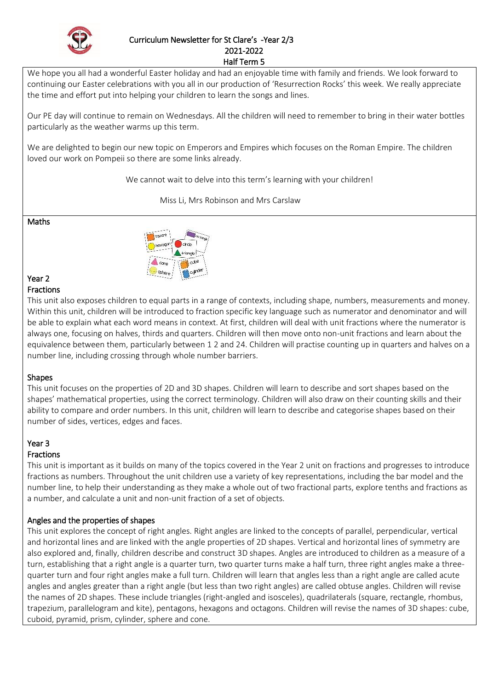

# Curriculum Newsletter for St Clare's -Year 2/3 2021-2022

Half Term 5

We hope you all had a wonderful Easter holiday and had an enjoyable time with family and friends. We look forward to continuing our Easter celebrations with you all in our production of 'Resurrection Rocks' this week. We really appreciate the time and effort put into helping your children to learn the songs and lines.

Our PE day will continue to remain on Wednesdays. All the children will need to remember to bring in their water bottles particularly as the weather warms up this term.

We are delighted to begin our new topic on Emperors and Empires which focuses on the Roman Empire. The children loved our work on Pompeii so there are some links already.

We cannot wait to delve into this term's learning with your children!

Miss Li, Mrs Robinson and Mrs Carslaw

Maths



#### Year 2 Fractions

This unit also exposes children to equal parts in a range of contexts, including shape, numbers, measurements and money. Within this unit, children will be introduced to fraction specific key language such as numerator and denominator and will be able to explain what each word means in context. At first, children will deal with unit fractions where the numerator is always one, focusing on halves, thirds and quarters. Children will then move onto non-unit fractions and learn about the equivalence between them, particularly between 1 2 and 24. Children will practise counting up in quarters and halves on a number line, including crossing through whole number barriers.

## Shapes

This unit focuses on the properties of 2D and 3D shapes. Children will learn to describe and sort shapes based on the shapes' mathematical properties, using the correct terminology. Children will also draw on their counting skills and their ability to compare and order numbers. In this unit, children will learn to describe and categorise shapes based on their number of sides, vertices, edges and faces.

# Year 3

# **Fractions**

This unit is important as it builds on many of the topics covered in the Year 2 unit on fractions and progresses to introduce fractions as numbers. Throughout the unit children use a variety of key representations, including the bar model and the number line, to help their understanding as they make a whole out of two fractional parts, explore tenths and fractions as a number, and calculate a unit and non-unit fraction of a set of objects.

## Angles and the properties of shapes

This unit explores the concept of right angles. Right angles are linked to the concepts of parallel, perpendicular, vertical and horizontal lines and are linked with the angle properties of 2D shapes. Vertical and horizontal lines of symmetry are also explored and, finally, children describe and construct 3D shapes. Angles are introduced to children as a measure of a turn, establishing that a right angle is a quarter turn, two quarter turns make a half turn, three right angles make a threequarter turn and four right angles make a full turn. Children will learn that angles less than a right angle are called acute angles and angles greater than a right angle (but less than two right angles) are called obtuse angles. Children will revise the names of 2D shapes. These include triangles (right-angled and isosceles), quadrilaterals (square, rectangle, rhombus, trapezium, parallelogram and kite), pentagons, hexagons and octagons. Children will revise the names of 3D shapes: cube, cuboid, pyramid, prism, cylinder, sphere and cone.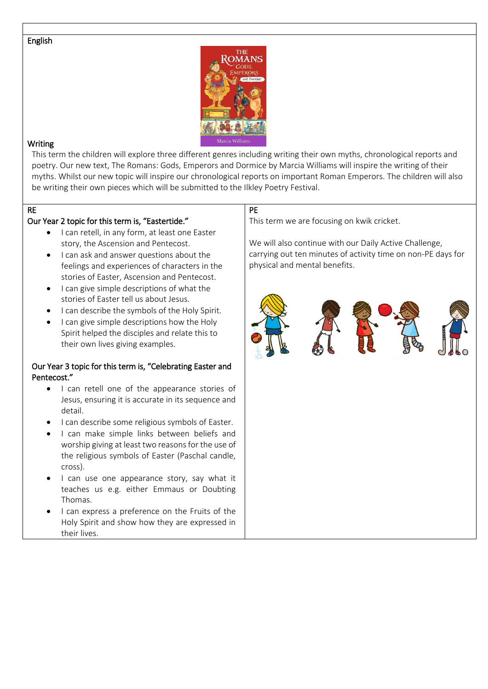#### English



#### **Writing**

This term the children will explore three different genres including writing their own myths, chronological reports and poetry. Our new text, The Romans: Gods, Emperors and Dormice by Marcia Williams will inspire the writing of their myths. Whilst our new topic will inspire our chronological reports on important Roman Emperors. The children will also be writing their own pieces which will be submitted to the Ilkley Poetry Festival.

# RE

#### Our Year 2 topic for this term is, "Eastertide."

- I can retell, in any form, at least one Easter story, the Ascension and Pentecost.
- I can ask and answer questions about the feelings and experiences of characters in the stories of Easter, Ascension and Pentecost.
- $\bullet$  I can give simple descriptions of what the stories of Easter tell us about Jesus.
- I can describe the symbols of the Holy Spirit.
- I can give simple descriptions how the Holy Spirit helped the disciples and relate this to their own lives giving examples.

#### Our Year 3 topic for this term is, "Celebrating Easter and Pentecost."

- I can retell one of the appearance stories of Jesus, ensuring it is accurate in its sequence and detail.
- I can describe some religious symbols of Easter.
- I can make simple links between beliefs and worship giving at least two reasons for the use of the religious symbols of Easter (Paschal candle, cross).
- I can use one appearance story, say what it teaches us e.g. either Emmaus or Doubting Thomas.
- I can express a preference on the Fruits of the Holy Spirit and show how they are expressed in their lives.

# PE

This term we are focusing on kwik cricket.

We will also continue with our Daily Active Challenge, carrying out ten minutes of activity time on non-PE days for physical and mental benefits.